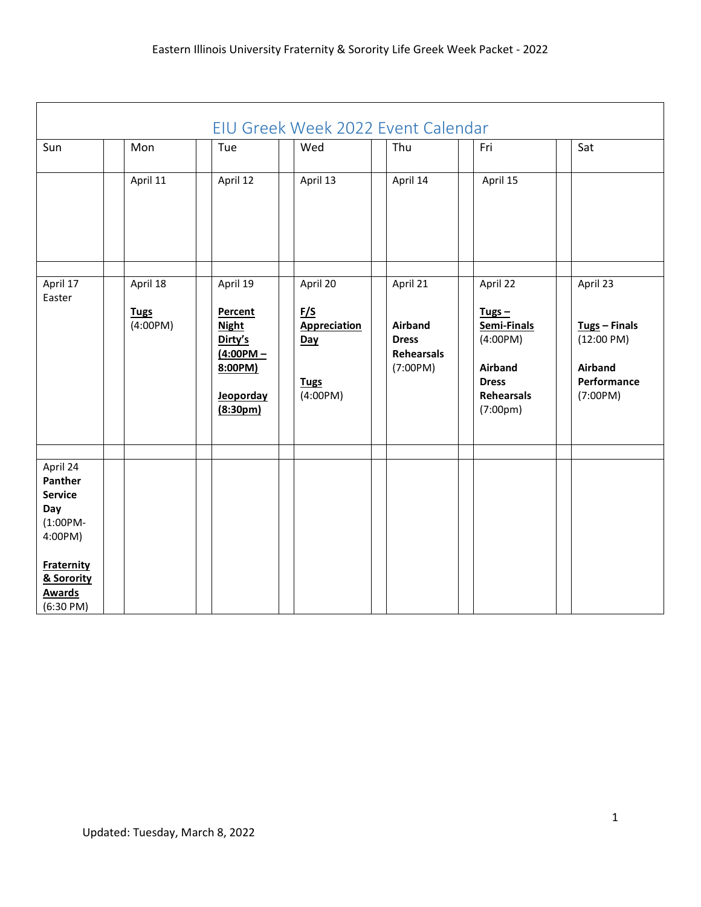<span id="page-0-0"></span>

| EIU Greek Week 2022 Event Calendar                                                                                                                |                                     |                                                                                                                |                                                                                 |                                                                      |                                                                                                                          |                                                                                                  |  |
|---------------------------------------------------------------------------------------------------------------------------------------------------|-------------------------------------|----------------------------------------------------------------------------------------------------------------|---------------------------------------------------------------------------------|----------------------------------------------------------------------|--------------------------------------------------------------------------------------------------------------------------|--------------------------------------------------------------------------------------------------|--|
| Sun                                                                                                                                               | Mon                                 | Tue                                                                                                            | Wed                                                                             | Thu                                                                  | Fri                                                                                                                      | Sat                                                                                              |  |
|                                                                                                                                                   | April 11                            | April 12                                                                                                       | April 13                                                                        | April 14                                                             | April 15                                                                                                                 |                                                                                                  |  |
| April 17<br>Easter                                                                                                                                | April 18<br><b>Tugs</b><br>(4:00PM) | April 19<br>Percent<br><b>Night</b><br>Dirty's<br>$(4:00PM -$<br>8:00PM)<br>Jeoporday<br>(8:30 <sub>pm</sub> ) | April 20<br><u>F/S</u><br><b>Appreciation</b><br>Day<br><b>Tugs</b><br>(4:00PM) | April 21<br><b>Airband</b><br><b>Dress</b><br>Rehearsals<br>(7:00PM) | April 22<br>Tugs $-$<br>Semi-Finals<br>(4:00PM)<br><b>Airband</b><br><b>Dress</b><br>Rehearsals<br>(7:00 <sub>pm</sub> ) | April 23<br>$Tugs - Finals$<br>$(12:00 \text{ PM})$<br><b>Airband</b><br>Performance<br>(7:00PM) |  |
| April 24<br>Panther<br><b>Service</b><br>Day<br>$(1:00PM -$<br>4:00PM)<br><b>Fraternity</b><br>& Sorority<br><b>Awards</b><br>$(6:30 \text{ PM})$ |                                     |                                                                                                                |                                                                                 |                                                                      |                                                                                                                          |                                                                                                  |  |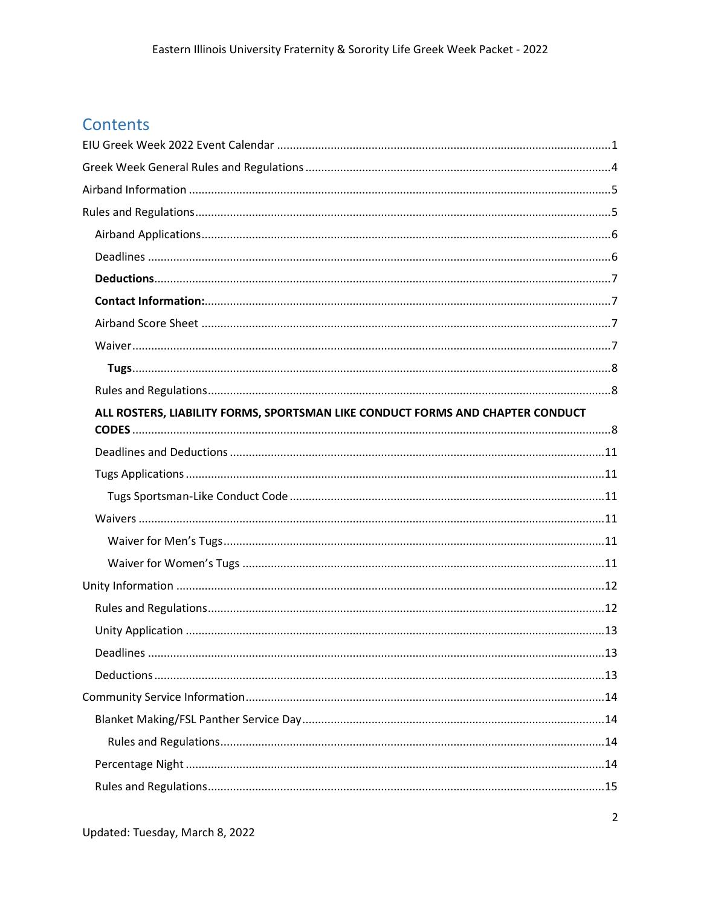## Contents

| ALL ROSTERS, LIABILITY FORMS, SPORTSMAN LIKE CONDUCT FORMS AND CHAPTER CONDUCT |
|--------------------------------------------------------------------------------|
|                                                                                |
|                                                                                |
|                                                                                |
|                                                                                |
|                                                                                |
|                                                                                |
|                                                                                |
|                                                                                |
|                                                                                |
|                                                                                |
|                                                                                |
|                                                                                |
|                                                                                |
|                                                                                |
|                                                                                |
|                                                                                |
|                                                                                |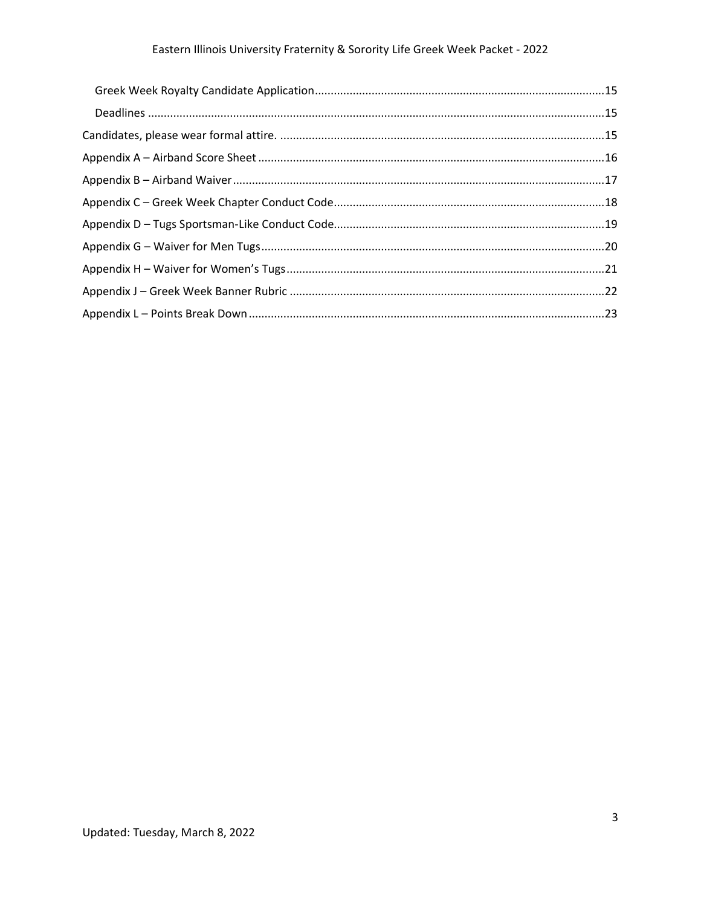## Eastern Illinois University Fraternity & Sorority Life Greek Week Packet - 2022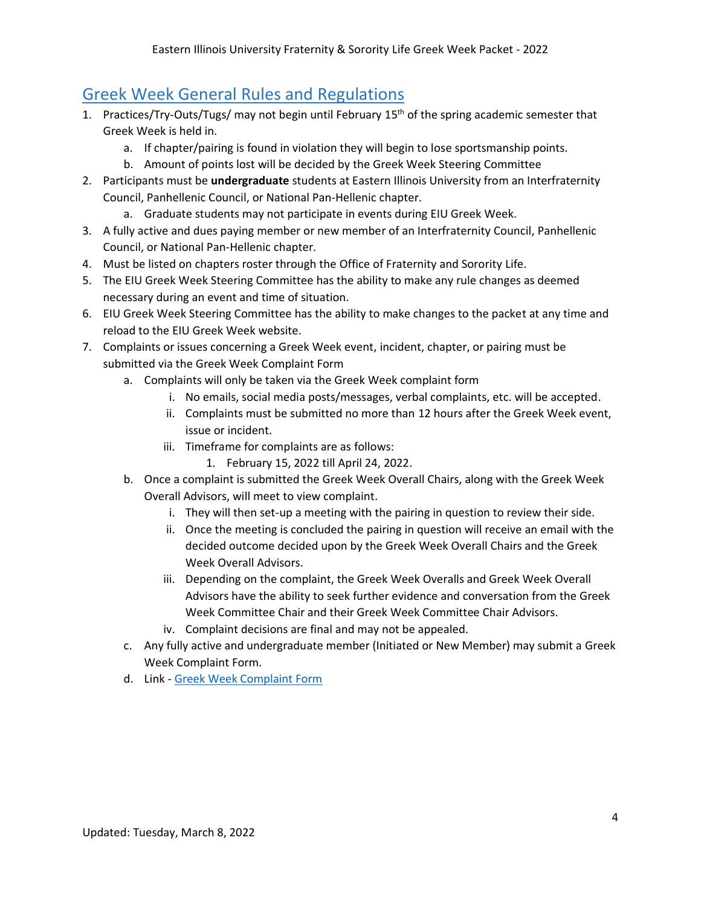## <span id="page-3-0"></span>Greek Week General Rules and Regulations

- 1. Practices/Try-Outs/Tugs/ may not begin until February 15th of the spring academic semester that Greek Week is held in.
	- a. If chapter/pairing is found in violation they will begin to lose sportsmanship points.
	- b. Amount of points lost will be decided by the Greek Week Steering Committee
- 2. Participants must be **undergraduate** students at Eastern Illinois University from an Interfraternity Council, Panhellenic Council, or National Pan-Hellenic chapter.
	- a. Graduate students may not participate in events during EIU Greek Week.
- 3. A fully active and dues paying member or new member of an Interfraternity Council, Panhellenic Council, or National Pan-Hellenic chapter.
- 4. Must be listed on chapters roster through the Office of Fraternity and Sorority Life.
- 5. The EIU Greek Week Steering Committee has the ability to make any rule changes as deemed necessary during an event and time of situation.
- 6. EIU Greek Week Steering Committee has the ability to make changes to the packet at any time and reload to the EIU Greek Week website.
- 7. Complaints or issues concerning a Greek Week event, incident, chapter, or pairing must be submitted via the Greek Week Complaint Form
	- a. Complaints will only be taken via the Greek Week complaint form
		- i. No emails, social media posts/messages, verbal complaints, etc. will be accepted.
		- ii. Complaints must be submitted no more than 12 hours after the Greek Week event, issue or incident.
		- iii. Timeframe for complaints are as follows:
			- 1. February 15, 2022 till April 24, 2022.
	- b. Once a complaint is submitted the Greek Week Overall Chairs, along with the Greek Week Overall Advisors, will meet to view complaint.
		- i. They will then set-up a meeting with the pairing in question to review their side.
		- ii. Once the meeting is concluded the pairing in question will receive an email with the decided outcome decided upon by the Greek Week Overall Chairs and the Greek Week Overall Advisors.
		- iii. Depending on the complaint, the Greek Week Overalls and Greek Week Overall Advisors have the ability to seek further evidence and conversation from the Greek Week Committee Chair and their Greek Week Committee Chair Advisors.
		- iv. Complaint decisions are final and may not be appealed.
	- c. Any fully active and undergraduate member (Initiated or New Member) may submit a Greek Week Complaint Form.
	- d. Link [Greek Week Complaint Form](https://www.eiu.edu/grklife/machform_4/view.php?id=59841)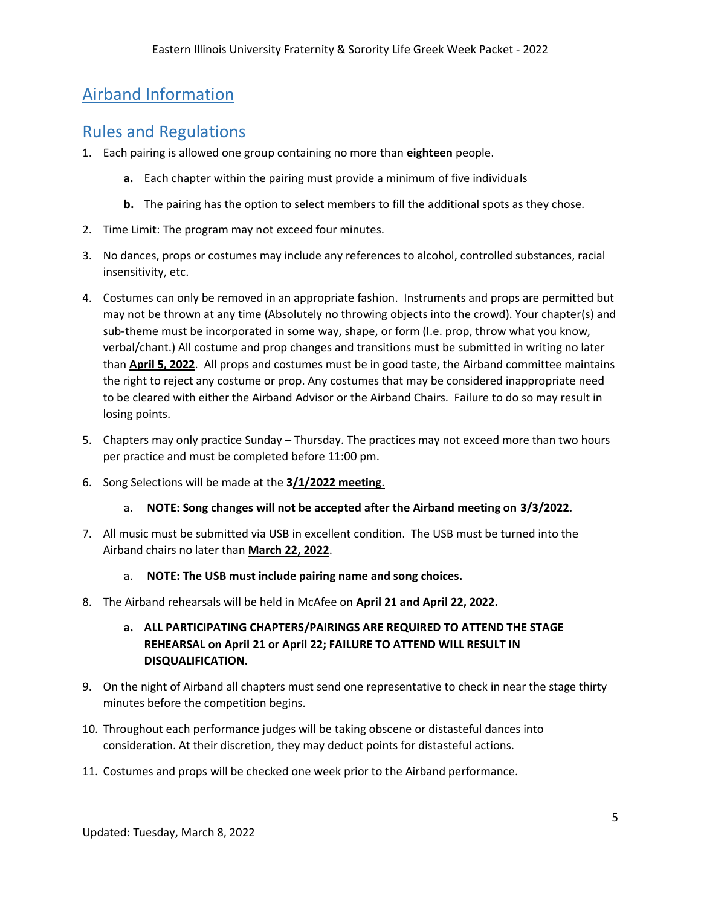## <span id="page-4-0"></span>Airband Information

## <span id="page-4-1"></span>Rules and Regulations

- 1. Each pairing is allowed one group containing no more than **eighteen** people.
	- **a.** Each chapter within the pairing must provide a minimum of five individuals
	- **b.** The pairing has the option to select members to fill the additional spots as they chose.
- 2. Time Limit: The program may not exceed four minutes.
- 3. No dances, props or costumes may include any references to alcohol, controlled substances, racial insensitivity, etc.
- 4. Costumes can only be removed in an appropriate fashion. Instruments and props are permitted but may not be thrown at any time (Absolutely no throwing objects into the crowd). Your chapter(s) and sub-theme must be incorporated in some way, shape, or form (I.e. prop, throw what you know, verbal/chant.) All costume and prop changes and transitions must be submitted in writing no later than **April 5, 2022**. All props and costumes must be in good taste, the Airband committee maintains the right to reject any costume or prop. Any costumes that may be considered inappropriate need to be cleared with either the Airband Advisor or the Airband Chairs. Failure to do so may result in losing points.
- 5. Chapters may only practice Sunday Thursday. The practices may not exceed more than two hours per practice and must be completed before 11:00 pm.
- 6. Song Selections will be made at the **3/1/2022 meeting**.
	- a. **NOTE: Song changes will not be accepted after the Airband meeting on 3/3/2022.**
- 7. All music must be submitted via USB in excellent condition. The USB must be turned into the Airband chairs no later than **March 22, 2022**.
	- a. **NOTE: The USB must include pairing name and song choices.**
- 8. The Airband rehearsals will be held in McAfee on **April 21 and April 22, 2022.**

### **a. ALL PARTICIPATING CHAPTERS/PAIRINGS ARE REQUIRED TO ATTEND THE STAGE REHEARSAL on April 21 or April 22; FAILURE TO ATTEND WILL RESULT IN DISQUALIFICATION.**

- 9. On the night of Airband all chapters must send one representative to check in near the stage thirty minutes before the competition begins.
- 10. Throughout each performance judges will be taking obscene or distasteful dances into consideration. At their discretion, they may deduct points for distasteful actions.
- 11. Costumes and props will be checked one week prior to the Airband performance.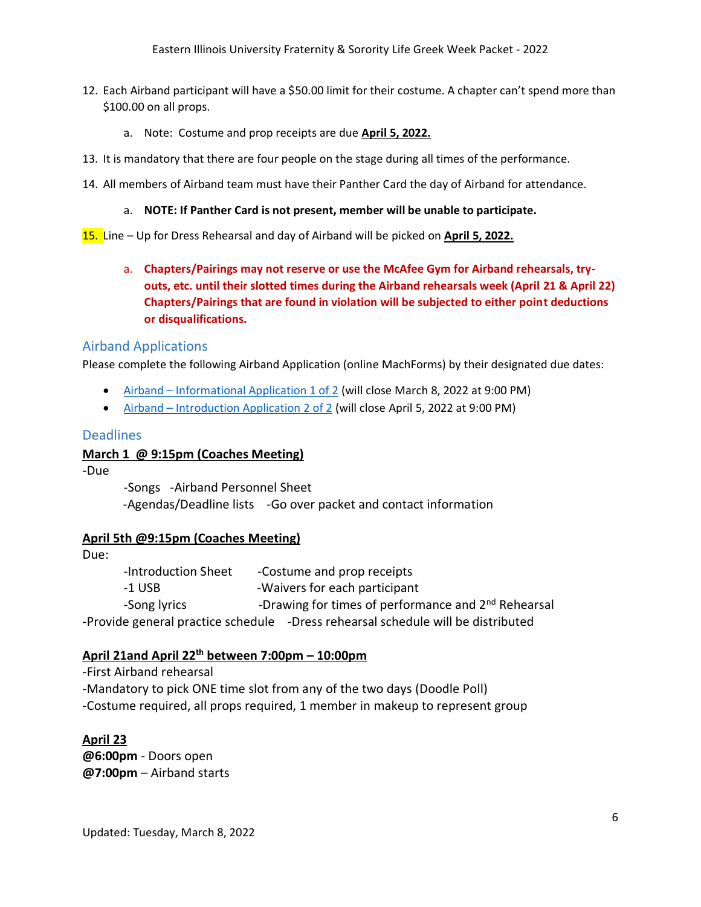- 12. Each Airband participant will have a \$50.00 limit for their costume. A chapter can't spend more than \$100.00 on all props.
	- a. Note: Costume and prop receipts are due **April 5, 2022.**
- 13. It is mandatory that there are four people on the stage during all times of the performance.
- 14. All members of Airband team must have their Panther Card the day of Airband for attendance.

#### a. **NOTE: If Panther Card is not present, member will be unable to participate.**

- 15. Line Up for Dress Rehearsal and day of Airband will be picked on **April 5, 2022.**
	- a. **Chapters/Pairings may not reserve or use the McAfee Gym for Airband rehearsals, tryouts, etc. until their slotted times during the Airband rehearsals week (April 21 & April 22) Chapters/Pairings that are found in violation will be subjected to either point deductions or disqualifications.**

### <span id="page-5-0"></span>Airband Applications

Please complete the following Airband Application (online MachForms) by their designated due dates:

- Airband [Informational Application 1 of 2](https://www.eiu.edu/grklife/machform_4/view.php?id=26012) (will close March 8, 2022 at 9:00 PM)
- Airband [Introduction Application 2 of 2](https://www.eiu.edu/grklife/machform_4/view.php?id=27146) (will close April 5, 2022 at 9:00 PM)

#### <span id="page-5-1"></span>**Deadlines**

#### **March 1 @ 9:15pm (Coaches Meeting)**

-Due

-Songs -Airband Personnel Sheet -Agendas/Deadline lists -Go over packet and contact information

### **April 5th @9:15pm (Coaches Meeting)**

Due:

-Introduction Sheet - Costume and prop receipts -1 USB -Waivers for each participant -Song lyrics -Drawing for times of performance and 2<sup>nd</sup> Rehearsal -Provide general practice schedule -Dress rehearsal schedule will be distributed

### **April 21and April 22 th between 7:00pm – 10:00pm**

-First Airband rehearsal -Mandatory to pick ONE time slot from any of the two days (Doodle Poll) -Costume required, all props required, 1 member in makeup to represent group

### **April 23**

**@6:00pm** - Doors open **@7:00pm** – Airband starts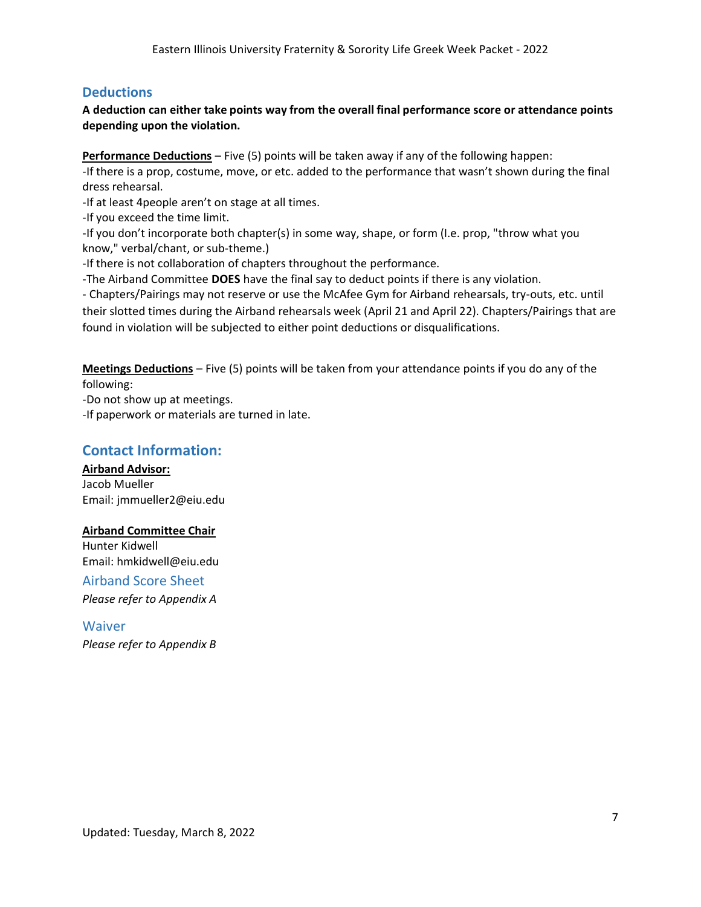## <span id="page-6-0"></span>**Deductions**

### **A deduction can either take points way from the overall final performance score or attendance points depending upon the violation.**

**Performance Deductions** – Five (5) points will be taken away if any of the following happen:

-If there is a prop, costume, move, or etc. added to the performance that wasn't shown during the final dress rehearsal.

-If at least 4people aren't on stage at all times.

-If you exceed the time limit.

-If you don't incorporate both chapter(s) in some way, shape, or form (I.e. prop, "throw what you know," verbal/chant, or sub-theme.)

-If there is not collaboration of chapters throughout the performance.

-The Airband Committee **DOES** have the final say to deduct points if there is any violation.

- Chapters/Pairings may not reserve or use the McAfee Gym for Airband rehearsals, try-outs, etc. until their slotted times during the Airband rehearsals week (April 21 and April 22). Chapters/Pairings that are found in violation will be subjected to either point deductions or disqualifications.

**Meetings Deductions** – Five (5) points will be taken from your attendance points if you do any of the following:

-Do not show up at meetings.

-If paperwork or materials are turned in late.

## <span id="page-6-1"></span>**Contact Information:**

**Airband Advisor:**  Jacob Mueller Email: jmmueller2@eiu.edu

### **Airband Committee Chair**

Hunter Kidwell Email: hmkidwell@eiu.edu

<span id="page-6-2"></span>Airband Score Sheet *Please refer to Appendix A*

<span id="page-6-3"></span>Waiver *Please refer to Appendix B*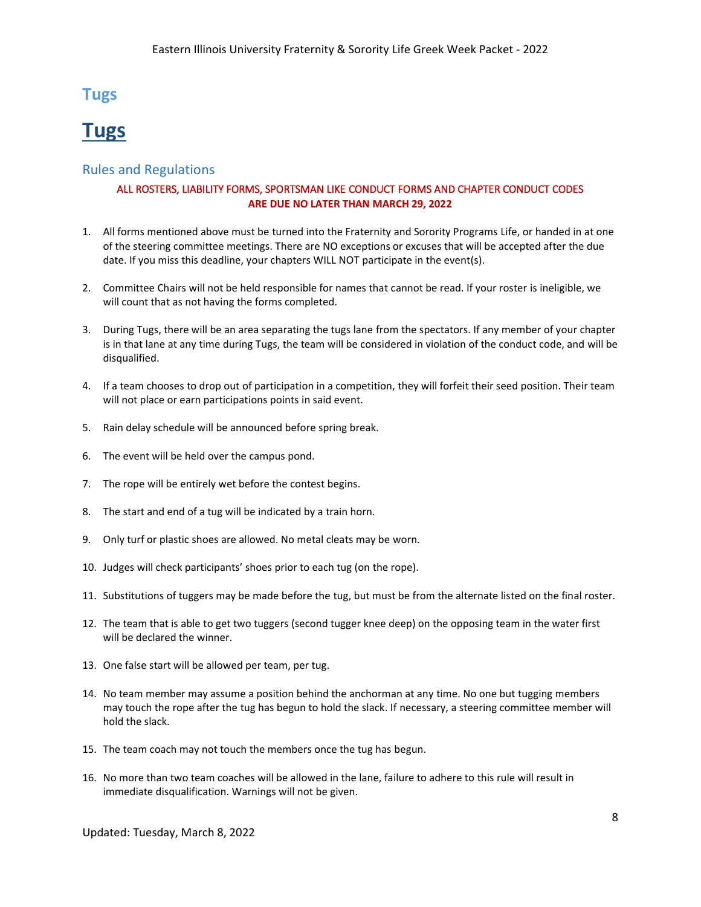## **Tugs**

# <span id="page-7-0"></span>**Tugs**

#### <span id="page-7-2"></span><span id="page-7-1"></span>Rules and Regulations

#### ALL ROSTERS, LIABILITY FORMS, SPORTSMAN LIKE CONDUCT FORMS AND CHAPTER CONDUCT CODES **ARE DUE NO LATER THAN MARCH 29, 2022**

- 1. All forms mentioned above must be turned into the Fraternity and Sorority Programs Life, or handed in at one of the steering committee meetings. There are NO exceptions or excuses that will be accepted after the due date. If you miss this deadline, your chapters WILL NOT participate in the event(s).
- 2. Committee Chairs will not be held responsible for names that cannot be read. If your roster is ineligible, we will count that as not having the forms completed.
- 3. During Tugs, there will be an area separating the tugs lane from the spectators. If any member of your chapter is in that lane at any time during Tugs, the team will be considered in violation of the conduct code, and will be disqualified.
- 4. If a team chooses to drop out of participation in a competition, they will forfeit their seed position. Their team will not place or earn participations points in said event.
- 5. Rain delay schedule will be announced before spring break.
- 6. The event will be held over the campus pond.
- 7. The rope will be entirely wet before the contest begins.
- 8. The start and end of a tug will be indicated by a train horn.
- 9. Only turf or plastic shoes are allowed. No metal cleats may be worn.
- 10. Judges will check participants' shoes prior to each tug (on the rope).
- 11. Substitutions of tuggers may be made before the tug, but must be from the alternate listed on the final roster.
- 12. The team that is able to get two tuggers (second tugger knee deep) on the opposing team in the water first will be declared the winner.
- 13. One false start will be allowed per team, per tug.
- 14. No team member may assume a position behind the anchorman at any time. No one but tugging members may touch the rope after the tug has begun to hold the slack. If necessary, a steering committee member will hold the slack.
- 15. The team coach may not touch the members once the tug has begun.
- 16. No more than two team coaches will be allowed in the lane, failure to adhere to this rule will result in immediate disqualification. Warnings will not be given.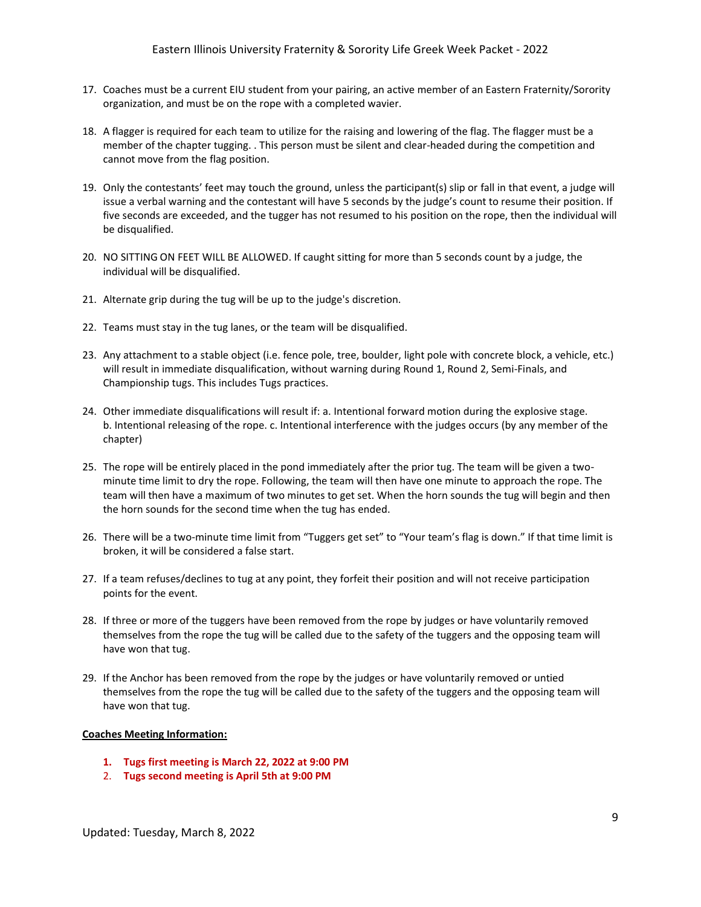- 17. Coaches must be a current EIU student from your pairing, an active member of an Eastern Fraternity/Sorority organization, and must be on the rope with a completed wavier.
- 18. A flagger is required for each team to utilize for the raising and lowering of the flag. The flagger must be a member of the chapter tugging. . This person must be silent and clear-headed during the competition and cannot move from the flag position.
- 19. Only the contestants' feet may touch the ground, unless the participant(s) slip or fall in that event, a judge will issue a verbal warning and the contestant will have 5 seconds by the judge's count to resume their position. If five seconds are exceeded, and the tugger has not resumed to his position on the rope, then the individual will be disqualified.
- 20. NO SITTING ON FEET WILL BE ALLOWED. If caught sitting for more than 5 seconds count by a judge, the individual will be disqualified.
- 21. Alternate grip during the tug will be up to the judge's discretion.
- 22. Teams must stay in the tug lanes, or the team will be disqualified.
- 23. Any attachment to a stable object (i.e. fence pole, tree, boulder, light pole with concrete block, a vehicle, etc.) will result in immediate disqualification, without warning during Round 1, Round 2, Semi-Finals, and Championship tugs. This includes Tugs practices.
- 24. Other immediate disqualifications will result if: a. Intentional forward motion during the explosive stage. b. Intentional releasing of the rope. c. Intentional interference with the judges occurs (by any member of the chapter)
- 25. The rope will be entirely placed in the pond immediately after the prior tug. The team will be given a twominute time limit to dry the rope. Following, the team will then have one minute to approach the rope. The team will then have a maximum of two minutes to get set. When the horn sounds the tug will begin and then the horn sounds for the second time when the tug has ended.
- 26. There will be a two-minute time limit from "Tuggers get set" to "Your team's flag is down." If that time limit is broken, it will be considered a false start.
- 27. If a team refuses/declines to tug at any point, they forfeit their position and will not receive participation points for the event.
- 28. If three or more of the tuggers have been removed from the rope by judges or have voluntarily removed themselves from the rope the tug will be called due to the safety of the tuggers and the opposing team will have won that tug.
- 29. If the Anchor has been removed from the rope by the judges or have voluntarily removed or untied themselves from the rope the tug will be called due to the safety of the tuggers and the opposing team will have won that tug.

#### **Coaches Meeting Information:**

- **1. Tugs first meeting is March 22, 2022 at 9:00 PM**
- 2. **Tugs second meeting is April 5th at 9:00 PM**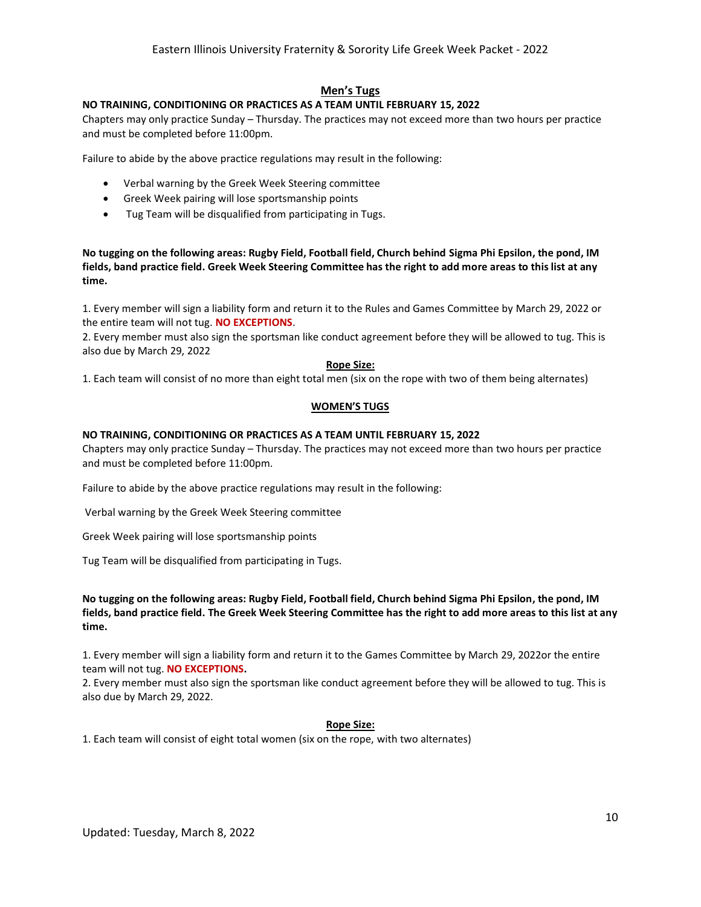#### **Men's Tugs**

#### **NO TRAINING, CONDITIONING OR PRACTICES AS A TEAM UNTIL FEBRUARY 15, 2022**

Chapters may only practice Sunday – Thursday. The practices may not exceed more than two hours per practice and must be completed before 11:00pm.

Failure to abide by the above practice regulations may result in the following:

- Verbal warning by the Greek Week Steering committee
- Greek Week pairing will lose sportsmanship points
- Tug Team will be disqualified from participating in Tugs.

**No tugging on the following areas: Rugby Field, Football field, Church behind Sigma Phi Epsilon, the pond, IM fields, band practice field. Greek Week Steering Committee has the right to add more areas to this list at any time.** 

1. Every member will sign a liability form and return it to the Rules and Games Committee by March 29, 2022 or the entire team will not tug. **NO EXCEPTIONS**.

2. Every member must also sign the sportsman like conduct agreement before they will be allowed to tug. This is also due by March 29, 2022

#### **Rope Size:**

1. Each team will consist of no more than eight total men (six on the rope with two of them being alternates)

#### **WOMEN'S TUGS**

#### **NO TRAINING, CONDITIONING OR PRACTICES AS A TEAM UNTIL FEBRUARY 15, 2022**

Chapters may only practice Sunday – Thursday. The practices may not exceed more than two hours per practice and must be completed before 11:00pm.

Failure to abide by the above practice regulations may result in the following:

Verbal warning by the Greek Week Steering committee

Greek Week pairing will lose sportsmanship points

Tug Team will be disqualified from participating in Tugs.

#### **No tugging on the following areas: Rugby Field, Football field, Church behind Sigma Phi Epsilon, the pond, IM fields, band practice field. The Greek Week Steering Committee has the right to add more areas to this list at any time.**

1. Every member will sign a liability form and return it to the Games Committee by March 29, 2022or the entire team will not tug. **NO EXCEPTIONS.** 

2. Every member must also sign the sportsman like conduct agreement before they will be allowed to tug. This is also due by March 29, 2022.

#### **Rope Size:**

1. Each team will consist of eight total women (six on the rope, with two alternates)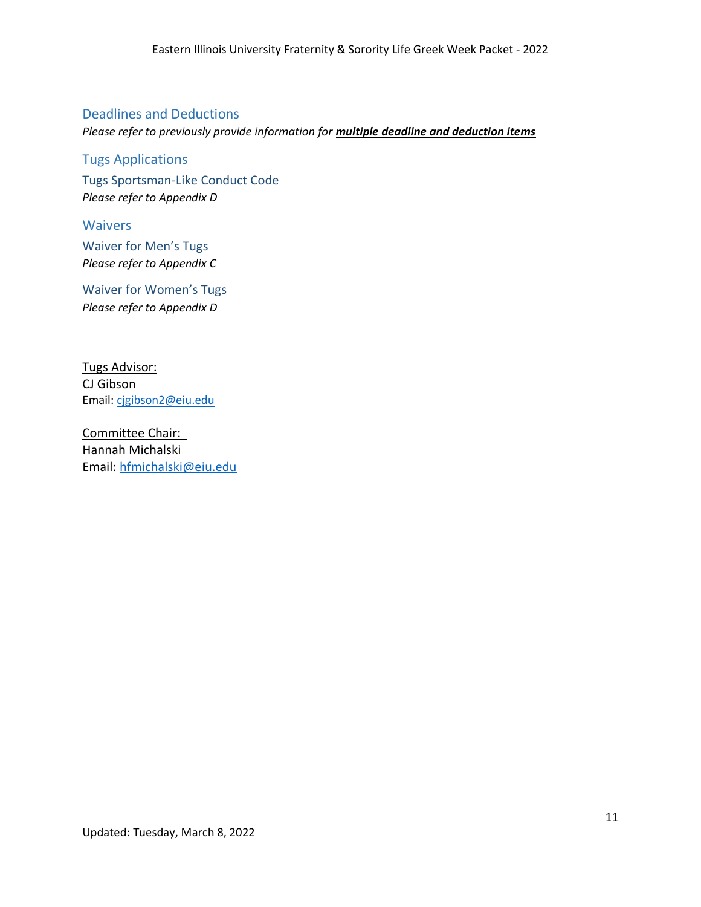### <span id="page-10-0"></span>Deadlines and Deductions

*Please refer to previously provide information for multiple deadline and deduction items*

### <span id="page-10-1"></span>Tugs Applications

<span id="page-10-2"></span>Tugs Sportsman-Like Conduct Code *Please refer to Appendix D*

<span id="page-10-3"></span>**Waivers** 

<span id="page-10-4"></span>Waiver for Men's Tugs *Please refer to Appendix C*

<span id="page-10-5"></span>Waiver for Women's Tugs *Please refer to Appendix D*

Tugs Advisor: CJ Gibson Email: [cjgibson2@eiu.edu](mailto:cjgibson2@eiu.edu)

Committee Chair: Hannah Michalski Email: [hfmichalski@eiu.edu](mailto:hfmichalski@eiu.edu)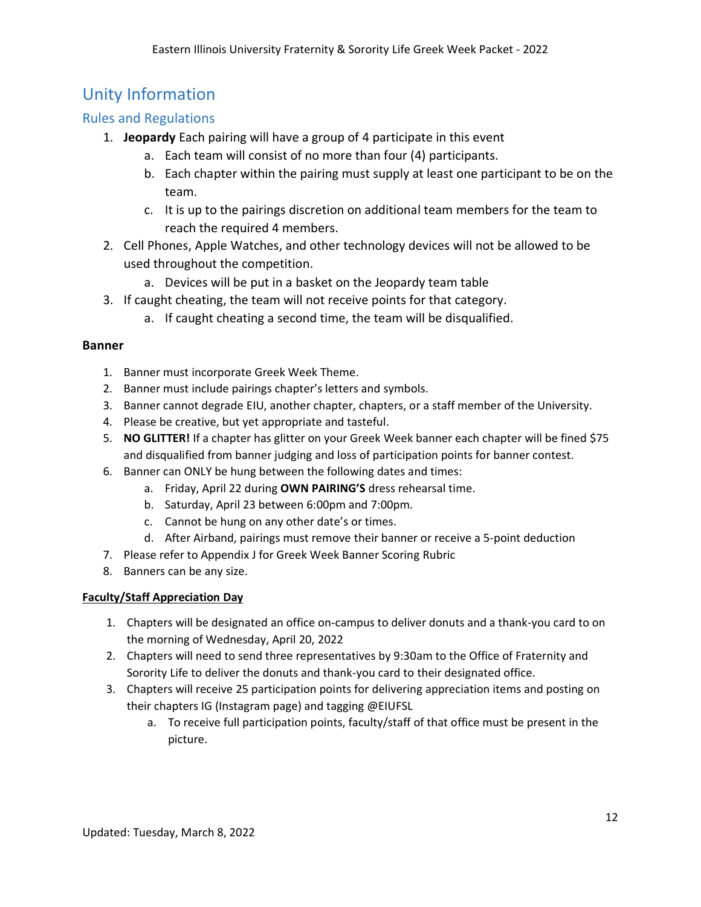## <span id="page-11-0"></span>Unity Information

## <span id="page-11-1"></span>Rules and Regulations

- 1. **Jeopardy** Each pairing will have a group of 4 participate in this event
	- a. Each team will consist of no more than four (4) participants.
	- b. Each chapter within the pairing must supply at least one participant to be on the team.
	- c. It is up to the pairings discretion on additional team members for the team to reach the required 4 members.
- 2. Cell Phones, Apple Watches, and other technology devices will not be allowed to be used throughout the competition.
	- a. Devices will be put in a basket on the Jeopardy team table
- 3. If caught cheating, the team will not receive points for that category.
	- a. If caught cheating a second time, the team will be disqualified.

### **Banner**

- 1. Banner must incorporate Greek Week Theme.
- 2. Banner must include pairings chapter's letters and symbols.
- 3. Banner cannot degrade EIU, another chapter, chapters, or a staff member of the University.
- 4. Please be creative, but yet appropriate and tasteful.
- 5. **NO GLITTER!** If a chapter has glitter on your Greek Week banner each chapter will be fined \$75 and disqualified from banner judging and loss of participation points for banner contest.
- 6. Banner can ONLY be hung between the following dates and times:
	- a. Friday, April 22 during **OWN PAIRING'S** dress rehearsal time.
	- b. Saturday, April 23 between 6:00pm and 7:00pm.
	- c. Cannot be hung on any other date's or times.
	- d. After Airband, pairings must remove their banner or receive a 5-point deduction
- 7. Please refer to Appendix J for Greek Week Banner Scoring Rubric
- 8. Banners can be any size.

### **Faculty/Staff Appreciation Day**

- 1. Chapters will be designated an office on-campus to deliver donuts and a thank-you card to on the morning of Wednesday, April 20, 2022
- 2. Chapters will need to send three representatives by 9:30am to the Office of Fraternity and Sorority Life to deliver the donuts and thank-you card to their designated office.
- 3. Chapters will receive 25 participation points for delivering appreciation items and posting on their chapters IG (Instagram page) and tagging @EIUFSL
	- a. To receive full participation points, faculty/staff of that office must be present in the picture.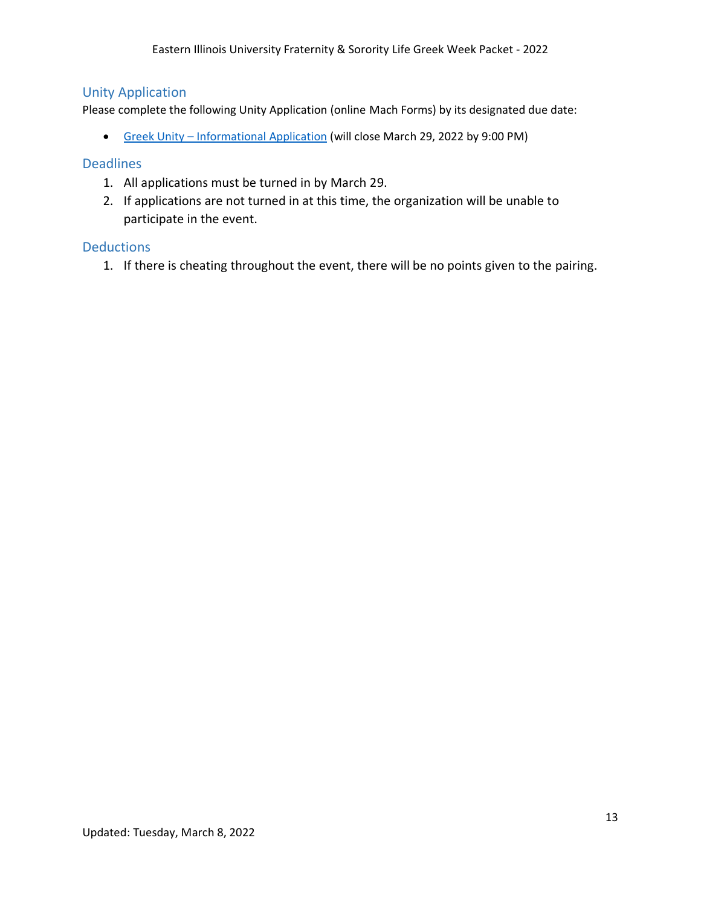## <span id="page-12-0"></span>Unity Application

Please complete the following Unity Application (online Mach Forms) by its designated due date:

<span id="page-12-1"></span>• Greek Unity – [Informational Application](https://www.eiu.edu/grklife/machform_4/view.php?id=28952) (will close March 29, 2022 by 9:00 PM)

### Deadlines

- 1. All applications must be turned in by March 29.
- 2. If applications are not turned in at this time, the organization will be unable to participate in the event.

### <span id="page-12-2"></span>**Deductions**

1. If there is cheating throughout the event, there will be no points given to the pairing.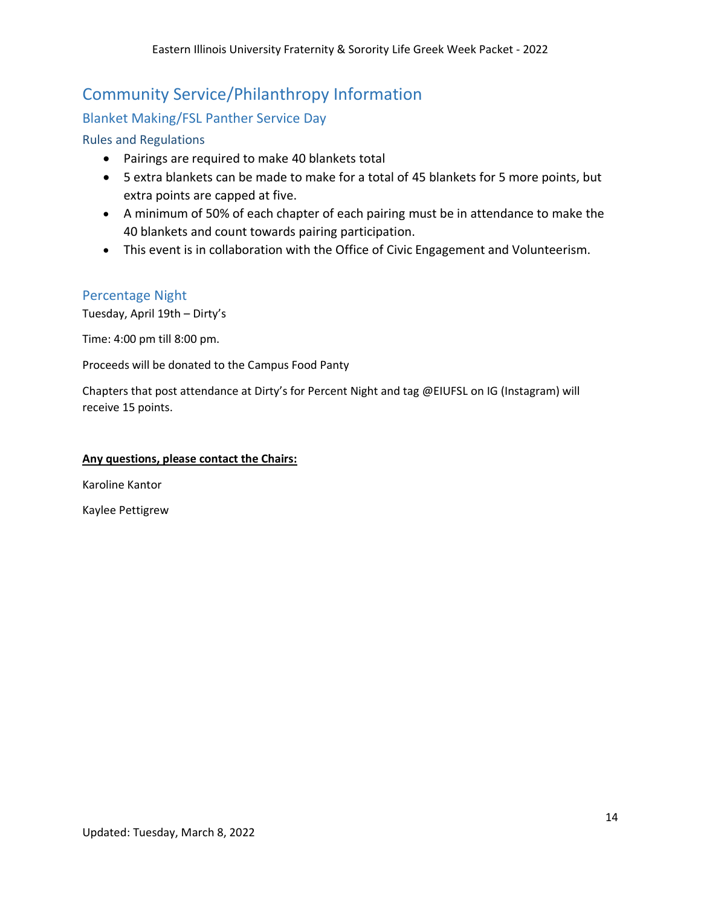# <span id="page-13-0"></span>Community Service/Philanthropy Information

## <span id="page-13-1"></span>Blanket Making/FSL Panther Service Day

### <span id="page-13-2"></span>Rules and Regulations

- Pairings are required to make 40 blankets total
- 5 extra blankets can be made to make for a total of 45 blankets for 5 more points, but extra points are capped at five.
- A minimum of 50% of each chapter of each pairing must be in attendance to make the 40 blankets and count towards pairing participation.
- This event is in collaboration with the Office of Civic Engagement and Volunteerism.

### <span id="page-13-3"></span>Percentage Night

Tuesday, April 19th – Dirty's

Time: 4:00 pm till 8:00 pm.

Proceeds will be donated to the Campus Food Panty

Chapters that post attendance at Dirty's for Percent Night and tag @EIUFSL on IG (Instagram) will receive 15 points.

#### **Any questions, please contact the Chairs:**

Karoline Kantor

Kaylee Pettigrew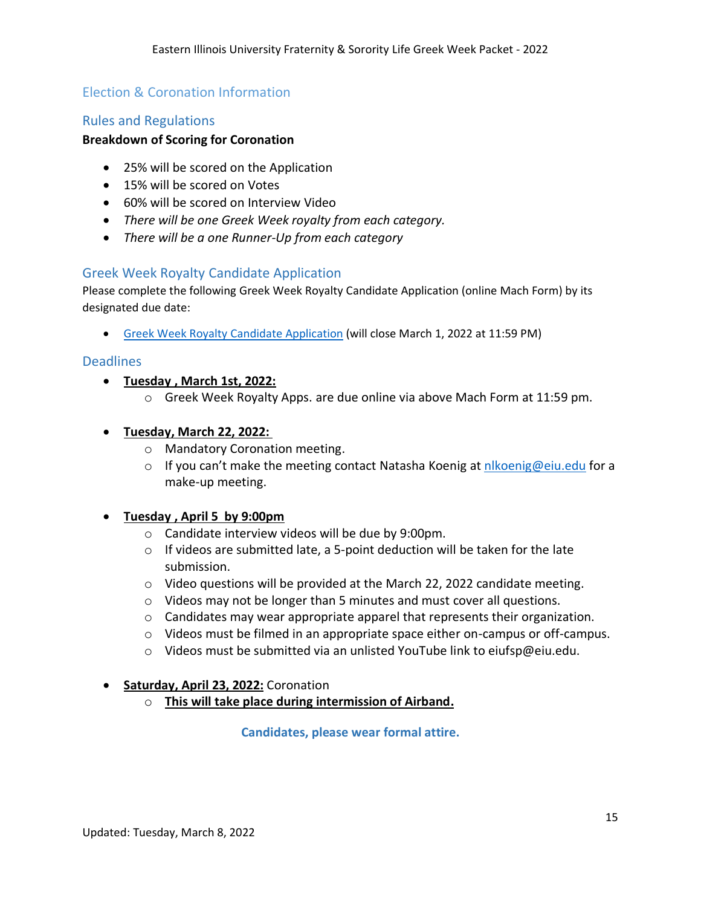## Election & Coronation Information

### <span id="page-14-0"></span>Rules and Regulations

### **Breakdown of Scoring for Coronation**

- 25% will be scored on the Application
- 15% will be scored on Votes
- 60% will be scored on Interview Video
- *There will be one Greek Week royalty from each category.*
- *There will be a one Runner-Up from each category*

### <span id="page-14-1"></span>Greek Week Royalty Candidate Application

Please complete the following Greek Week Royalty Candidate Application (online Mach Form) by its designated due date:

• [Greek Week Royalty](https://www.eiu.edu/grklife/machform_4/view.php?id=29428) Candidate Application (will close March 1, 2022 at 11:59 PM)

### <span id="page-14-2"></span>**Deadlines**

- **Tuesday , March 1st, 2022:**
	- o Greek Week Royalty Apps. are due online via above Mach Form at 11:59 pm.

### • **Tuesday, March 22, 2022:**

- o Mandatory Coronation meeting.
- o If you can't make the meeting contact Natasha Koenig at [nlkoenig@eiu.edu](mailto:nlkoenig@eiu.edu) for a make-up meeting.

### • **Tuesday , April 5 by 9:00pm**

- o Candidate interview videos will be due by 9:00pm.
- $\circ$  If videos are submitted late, a 5-point deduction will be taken for the late submission.
- $\circ$  Video questions will be provided at the March 22, 2022 candidate meeting.
- $\circ$  Videos may not be longer than 5 minutes and must cover all questions.
- o Candidates may wear appropriate apparel that represents their organization.
- o Videos must be filmed in an appropriate space either on-campus or off-campus.
- $\circ$  Videos must be submitted via an unlisted YouTube link to eiufsp@eiu.edu.

#### <span id="page-14-3"></span>• **Saturday, April 23, 2022:** Coronation

o **This will take place during intermission of Airband.**

**Candidates, please wear formal attire.**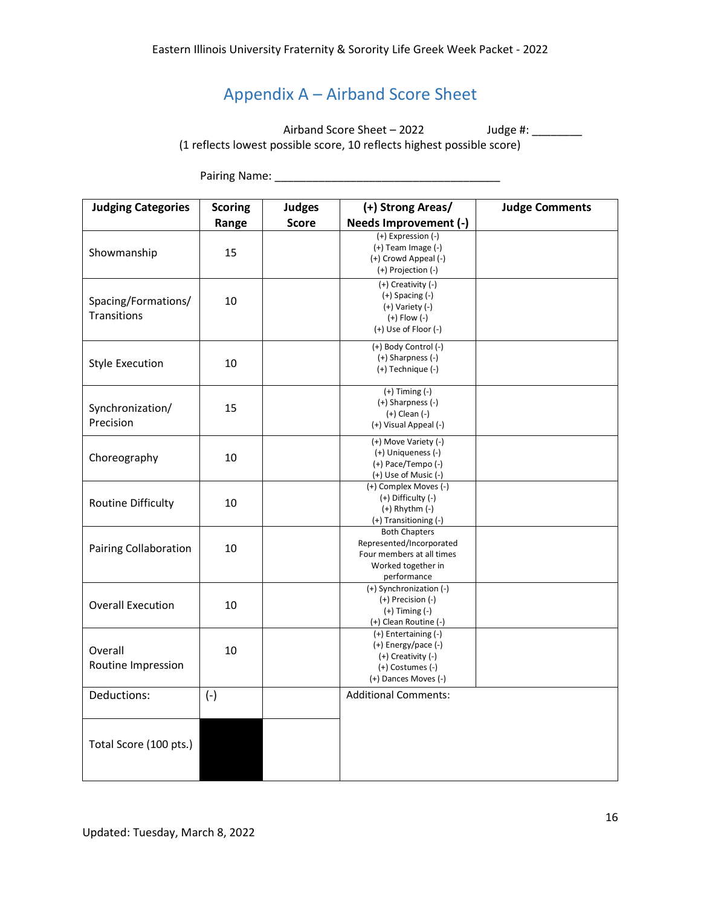# Appendix A – Airband Score Sheet

<span id="page-15-0"></span>Airband Score Sheet – 2022 Judge #: \_\_\_\_\_\_\_\_ (1 reflects lowest possible score, 10 reflects highest possible score)

Pairing Name: \_\_\_\_\_\_\_\_\_\_\_\_\_\_\_\_\_\_\_\_\_\_\_\_\_\_\_\_\_\_\_\_\_\_\_\_

| <b>Judging Categories</b><br><b>Scoring</b><br><b>Judges</b> |       |              | (+) Strong Areas/                                                                                                  | <b>Judge Comments</b> |  |
|--------------------------------------------------------------|-------|--------------|--------------------------------------------------------------------------------------------------------------------|-----------------------|--|
|                                                              | Range | <b>Score</b> | Needs Improvement (-)                                                                                              |                       |  |
| Showmanship                                                  | 15    |              | (+) Expression (-)<br>$(+)$ Team Image $(-)$<br>(+) Crowd Appeal (-)<br>(+) Projection (-)                         |                       |  |
| Spacing/Formations/<br>Transitions                           | 10    |              | (+) Creativity (-)<br>$(+)$ Spacing $(-)$<br>(+) Variety (-)<br>$(+)$ Flow $(-)$<br>(+) Use of Floor (-)           |                       |  |
| <b>Style Execution</b>                                       | 10    |              | (+) Body Control (-)<br>(+) Sharpness (-)<br>(+) Technique (-)                                                     |                       |  |
| Synchronization/<br>Precision                                | 15    |              | $(+)$ Timing $(-)$<br>$(+)$ Sharpness $(-)$<br>$(+)$ Clean $(-)$<br>(+) Visual Appeal (-)                          |                       |  |
| Choreography                                                 | 10    |              | (+) Move Variety (-)<br>(+) Uniqueness (-)<br>$(+)$ Pace/Tempo $(-)$<br>(+) Use of Music (-)                       |                       |  |
| <b>Routine Difficulty</b>                                    | 10    |              | (+) Complex Moves (-)<br>(+) Difficulty (-)<br>$(+)$ Rhythm $(-)$<br>(+) Transitioning (-)                         |                       |  |
| <b>Pairing Collaboration</b>                                 | 10    |              | <b>Both Chapters</b><br>Represented/Incorporated<br>Four members at all times<br>Worked together in<br>performance |                       |  |
| <b>Overall Execution</b>                                     | 10    |              | (+) Synchronization (-)<br>(+) Precision (-)<br>$(+)$ Timing $(-)$<br>(+) Clean Routine (-)                        |                       |  |
| Overall<br>Routine Impression                                | 10    |              | (+) Entertaining (-)<br>$(+)$ Energy/pace $(-)$<br>(+) Creativity (-)<br>(+) Costumes (-)<br>(+) Dances Moves (-)  |                       |  |
| Deductions:                                                  | $(-)$ |              | <b>Additional Comments:</b>                                                                                        |                       |  |
| Total Score (100 pts.)                                       |       |              |                                                                                                                    |                       |  |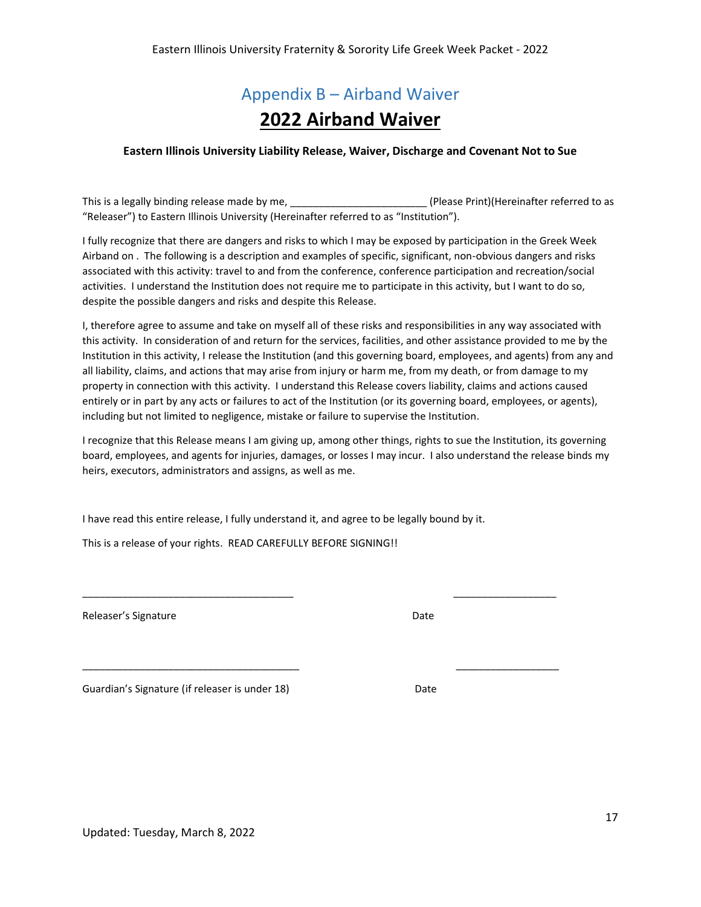# Appendix B – Airband Waiver **2022 Airband Waiver**

#### <span id="page-16-0"></span>**Eastern Illinois University Liability Release, Waiver, Discharge and Covenant Not to Sue**

This is a legally binding release made by me, \_\_\_\_\_\_\_\_\_\_\_\_\_\_\_\_\_\_\_\_\_\_\_\_\_\_\_\_(Please Print)(Hereinafter referred to as "Releaser") to Eastern Illinois University (Hereinafter referred to as "Institution").

I fully recognize that there are dangers and risks to which I may be exposed by participation in the Greek Week Airband on . The following is a description and examples of specific, significant, non-obvious dangers and risks associated with this activity: travel to and from the conference, conference participation and recreation/social activities. I understand the Institution does not require me to participate in this activity, but I want to do so, despite the possible dangers and risks and despite this Release.

I, therefore agree to assume and take on myself all of these risks and responsibilities in any way associated with this activity. In consideration of and return for the services, facilities, and other assistance provided to me by the Institution in this activity, I release the Institution (and this governing board, employees, and agents) from any and all liability, claims, and actions that may arise from injury or harm me, from my death, or from damage to my property in connection with this activity. I understand this Release covers liability, claims and actions caused entirely or in part by any acts or failures to act of the Institution (or its governing board, employees, or agents), including but not limited to negligence, mistake or failure to supervise the Institution.

I recognize that this Release means I am giving up, among other things, rights to sue the Institution, its governing board, employees, and agents for injuries, damages, or losses I may incur. I also understand the release binds my heirs, executors, administrators and assigns, as well as me.

I have read this entire release, I fully understand it, and agree to be legally bound by it.

\_\_\_\_\_\_\_\_\_\_\_\_\_\_\_\_\_\_\_\_\_\_\_\_\_\_\_\_\_\_\_\_\_\_\_\_\_ \_\_\_\_\_\_\_\_\_\_\_\_\_\_\_\_\_\_

\_\_\_\_\_\_\_\_\_\_\_\_\_\_\_\_\_\_\_\_\_\_\_\_\_\_\_\_\_\_\_\_\_\_\_\_\_\_ \_\_\_\_\_\_\_\_\_\_\_\_\_\_\_\_\_\_

This is a release of your rights. READ CAREFULLY BEFORE SIGNING!!

Releaser's Signature **Date** Date **Date** 

Guardian's Signature (if releaser is under 18) Superior Contract Date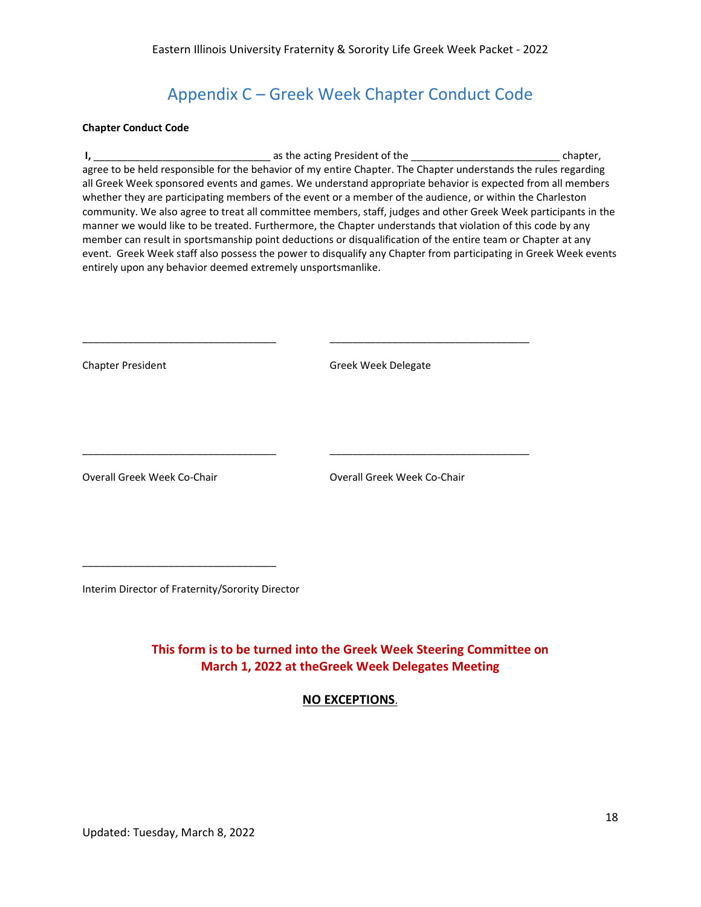## Appendix C – Greek Week Chapter Conduct Code

#### <span id="page-17-0"></span>**Chapter Conduct Code**

**I,** \_\_\_\_\_\_\_\_\_\_\_\_\_\_\_\_\_\_\_\_\_\_\_\_\_\_\_\_\_\_\_ as the acting President of the \_\_\_\_\_\_\_\_\_\_\_\_\_\_\_\_\_\_\_\_\_\_\_\_\_\_ chapter, agree to be held responsible for the behavior of my entire Chapter. The Chapter understands the rules regarding all Greek Week sponsored events and games. We understand appropriate behavior is expected from all members whether they are participating members of the event or a member of the audience, or within the Charleston community. We also agree to treat all committee members, staff, judges and other Greek Week participants in the manner we would like to be treated. Furthermore, the Chapter understands that violation of this code by any member can result in sportsmanship point deductions or disqualification of the entire team or Chapter at any event. Greek Week staff also possess the power to disqualify any Chapter from participating in Greek Week events entirely upon any behavior deemed extremely unsportsmanlike.

| <b>Chapter President</b>    | Greek Week Delegate         |
|-----------------------------|-----------------------------|
|                             |                             |
|                             |                             |
|                             |                             |
| Overall Greek Week Co-Chair | Overall Greek Week Co-Chair |
|                             |                             |
|                             |                             |
|                             |                             |
|                             |                             |

Interim Director of Fraternity/Sorority Director

**This form is to be turned into the Greek Week Steering Committee on March 1, 2022 at theGreek Week Delegates Meeting**

**NO EXCEPTIONS**.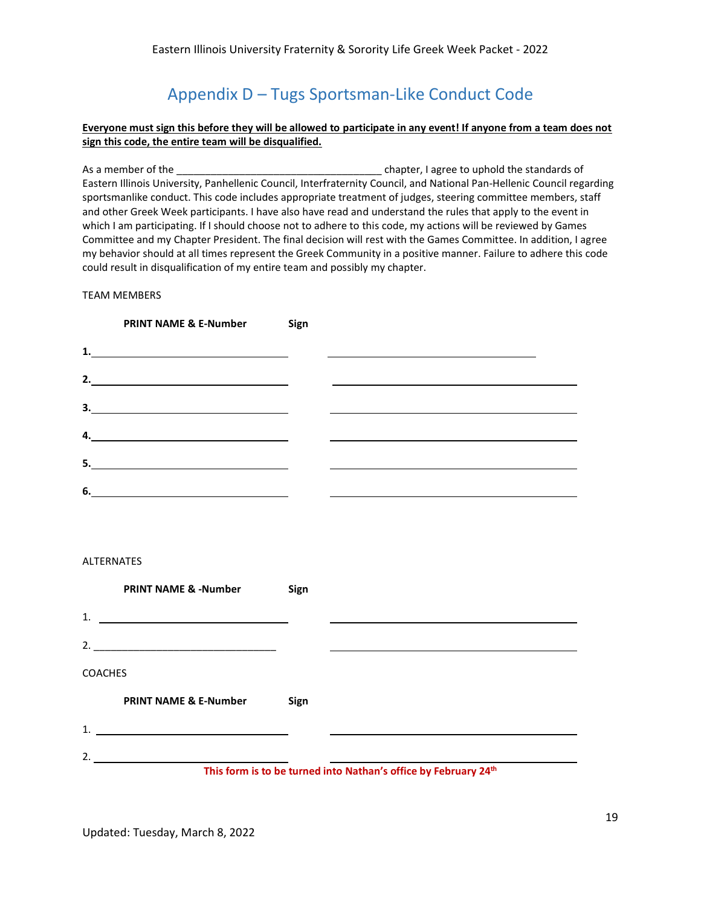## Appendix D – Tugs Sportsman-Like Conduct Code

#### <span id="page-18-0"></span>**Everyone must sign this before they will be allowed to participate in any event! If anyone from a team does not sign this code, the entire team will be disqualified.**

As a member of the \_\_\_\_\_\_\_\_\_\_\_\_\_\_\_\_\_\_\_\_\_\_\_\_\_\_\_\_\_\_\_\_\_\_\_\_ chapter, I agree to uphold the standards of Eastern Illinois University, Panhellenic Council, Interfraternity Council, and National Pan-Hellenic Council regarding sportsmanlike conduct. This code includes appropriate treatment of judges, steering committee members, staff and other Greek Week participants. I have also have read and understand the rules that apply to the event in which I am participating. If I should choose not to adhere to this code, my actions will be reviewed by Games Committee and my Chapter President. The final decision will rest with the Games Committee. In addition, I agree my behavior should at all times represent the Greek Community in a positive manner. Failure to adhere this code could result in disqualification of my entire team and possibly my chapter.

#### TEAM MEMBERS

|    | <b>PRINT NAME &amp; E-Number Sign</b>                                                                               |  |  |
|----|---------------------------------------------------------------------------------------------------------------------|--|--|
| 1. | <u> 1980 - Johann Barn, mars eta bainar eta baina eta baina eta baina eta baina eta baina eta baina eta baina e</u> |  |  |
| 2. | <u> 1989 - Johann Stein, fransk politik (d. 1989)</u>                                                               |  |  |
| 3. | <u> 1989 - Johann Barbara, martxa alemaniar arg</u>                                                                 |  |  |
| 4. |                                                                                                                     |  |  |
| 5. |                                                                                                                     |  |  |
| 6. | <u> 1989 - Johann Barbara, martxa alemaniar a</u>                                                                   |  |  |

#### ALTERNATES

|                                                                 | <b>PRINT NAME &amp; -Number</b>  | Sign |  |  |  |
|-----------------------------------------------------------------|----------------------------------|------|--|--|--|
|                                                                 | 1. $\qquad \qquad$               |      |  |  |  |
|                                                                 |                                  |      |  |  |  |
| <b>COACHES</b>                                                  |                                  |      |  |  |  |
|                                                                 | <b>PRINT NAME &amp; E-Number</b> | Sign |  |  |  |
|                                                                 | 1. $\qquad \qquad$               |      |  |  |  |
| 2.                                                              |                                  |      |  |  |  |
| This form is to be turned into Nathan's office by February 24th |                                  |      |  |  |  |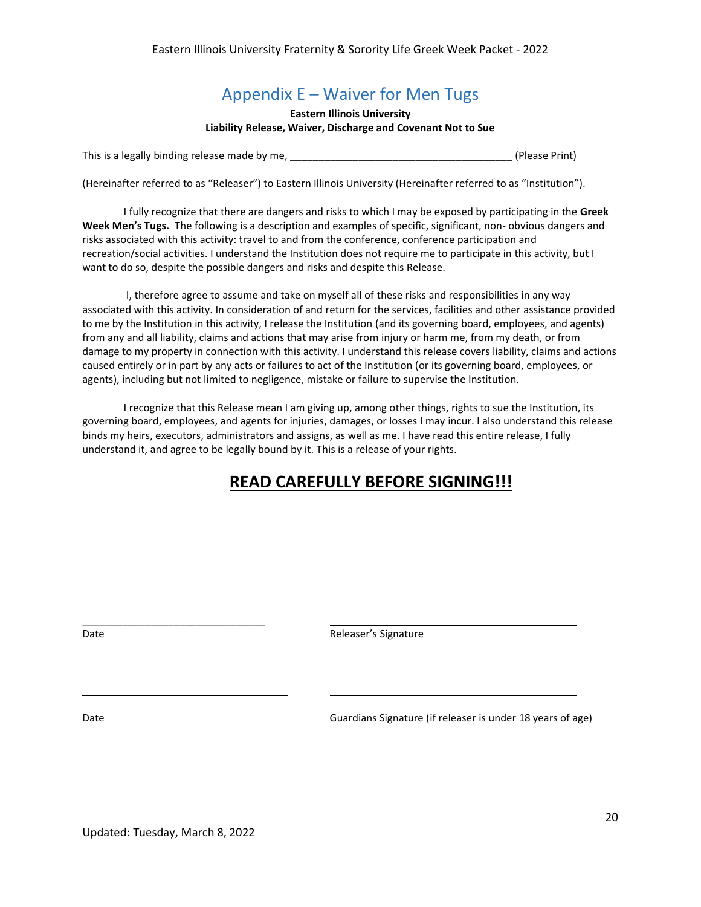## Appendix E – Waiver for Men Tugs

#### **Eastern Illinois University Liability Release, Waiver, Discharge and Covenant Not to Sue**

<span id="page-19-0"></span>This is a legally binding release made by me, \_\_\_\_\_\_\_\_\_\_\_\_\_\_\_\_\_\_\_\_\_\_\_\_\_\_\_\_\_\_\_\_\_\_\_\_\_\_\_ (Please Print)

(Hereinafter referred to as "Releaser") to Eastern Illinois University (Hereinafter referred to as "Institution").

I fully recognize that there are dangers and risks to which I may be exposed by participating in the **Greek Week Men's Tugs.** The following is a description and examples of specific, significant, non- obvious dangers and risks associated with this activity: travel to and from the conference, conference participation and recreation/social activities. I understand the Institution does not require me to participate in this activity, but I want to do so, despite the possible dangers and risks and despite this Release.

I, therefore agree to assume and take on myself all of these risks and responsibilities in any way associated with this activity. In consideration of and return for the services, facilities and other assistance provided to me by the Institution in this activity, I release the Institution (and its governing board, employees, and agents) from any and all liability, claims and actions that may arise from injury or harm me, from my death, or from damage to my property in connection with this activity. I understand this release covers liability, claims and actions caused entirely or in part by any acts or failures to act of the Institution (or its governing board, employees, or agents), including but not limited to negligence, mistake or failure to supervise the Institution.

I recognize that this Release mean I am giving up, among other things, rights to sue the Institution, its governing board, employees, and agents for injuries, damages, or losses I may incur. I also understand this release binds my heirs, executors, administrators and assigns, as well as me. I have read this entire release, I fully understand it, and agree to be legally bound by it. This is a release of your rights.

## **READ CAREFULLY BEFORE SIGNING!!!**

Date **Date Contract Contract Contract Contract Contract Contract Contract Contract Contract Contract Contract Contract Contract Contract Contract Contract Contract Contract Contract Contract Contract Contract Contract Co** 

l,

Date Guardians Signature (if releaser is under 18 years of age)

\_\_\_\_\_\_\_\_\_\_\_\_\_\_\_\_\_\_\_\_\_\_\_\_\_\_\_\_\_\_\_\_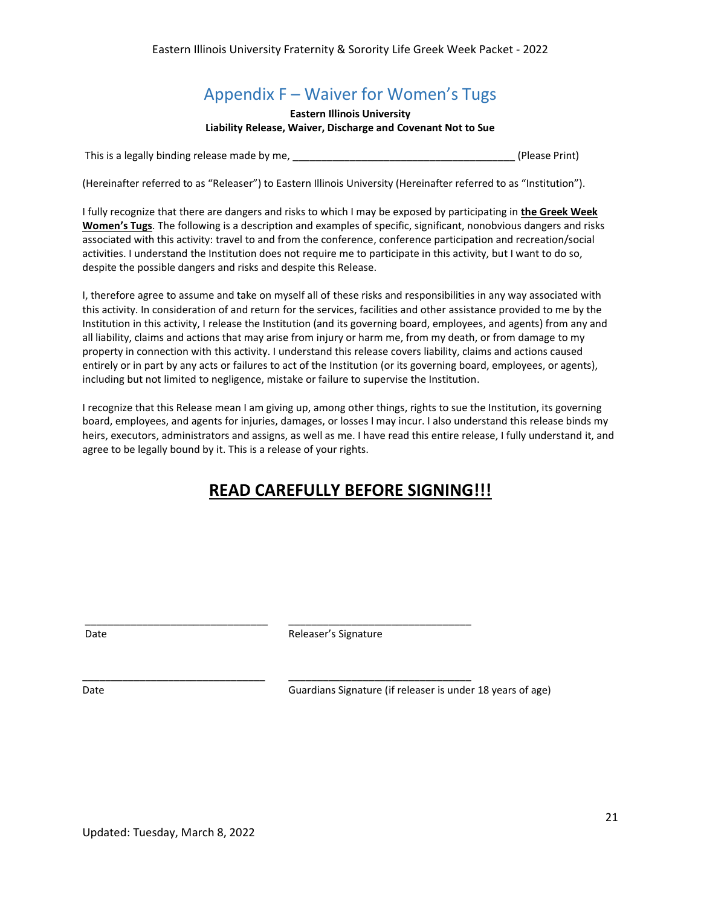# Appendix F – Waiver for Women's Tugs

**Eastern Illinois University Liability Release, Waiver, Discharge and Covenant Not to Sue**

<span id="page-20-0"></span>This is a legally binding release made by me, \_\_\_\_\_\_\_\_\_\_\_\_\_\_\_\_\_\_\_\_\_\_\_\_\_\_\_\_\_\_\_\_\_\_\_\_\_\_\_ (Please Print)

(Hereinafter referred to as "Releaser") to Eastern Illinois University (Hereinafter referred to as "Institution").

I fully recognize that there are dangers and risks to which I may be exposed by participating in **the Greek Week Women's Tugs**. The following is a description and examples of specific, significant, nonobvious dangers and risks associated with this activity: travel to and from the conference, conference participation and recreation/social activities. I understand the Institution does not require me to participate in this activity, but I want to do so, despite the possible dangers and risks and despite this Release.

I, therefore agree to assume and take on myself all of these risks and responsibilities in any way associated with this activity. In consideration of and return for the services, facilities and other assistance provided to me by the Institution in this activity, I release the Institution (and its governing board, employees, and agents) from any and all liability, claims and actions that may arise from injury or harm me, from my death, or from damage to my property in connection with this activity. I understand this release covers liability, claims and actions caused entirely or in part by any acts or failures to act of the Institution (or its governing board, employees, or agents), including but not limited to negligence, mistake or failure to supervise the Institution.

I recognize that this Release mean I am giving up, among other things, rights to sue the Institution, its governing board, employees, and agents for injuries, damages, or losses I may incur. I also understand this release binds my heirs, executors, administrators and assigns, as well as me. I have read this entire release, I fully understand it, and agree to be legally bound by it. This is a release of your rights.

## **READ CAREFULLY BEFORE SIGNING!!!**

Date **Date Releaser's Signature** 

\_\_\_\_\_\_\_\_\_\_\_\_\_\_\_\_\_\_\_\_\_\_\_\_\_\_\_\_\_\_\_\_ \_\_\_\_\_\_\_\_\_\_\_\_\_\_\_\_\_\_\_\_\_\_\_\_\_\_\_\_\_\_\_\_ Date Guardians Signature (if releaser is under 18 years of age) Date

\_\_\_\_\_\_\_\_\_\_\_\_\_\_\_\_\_\_\_\_\_\_\_\_\_\_\_\_\_\_\_\_ \_\_\_\_\_\_\_\_\_\_\_\_\_\_\_\_\_\_\_\_\_\_\_\_\_\_\_\_\_\_\_\_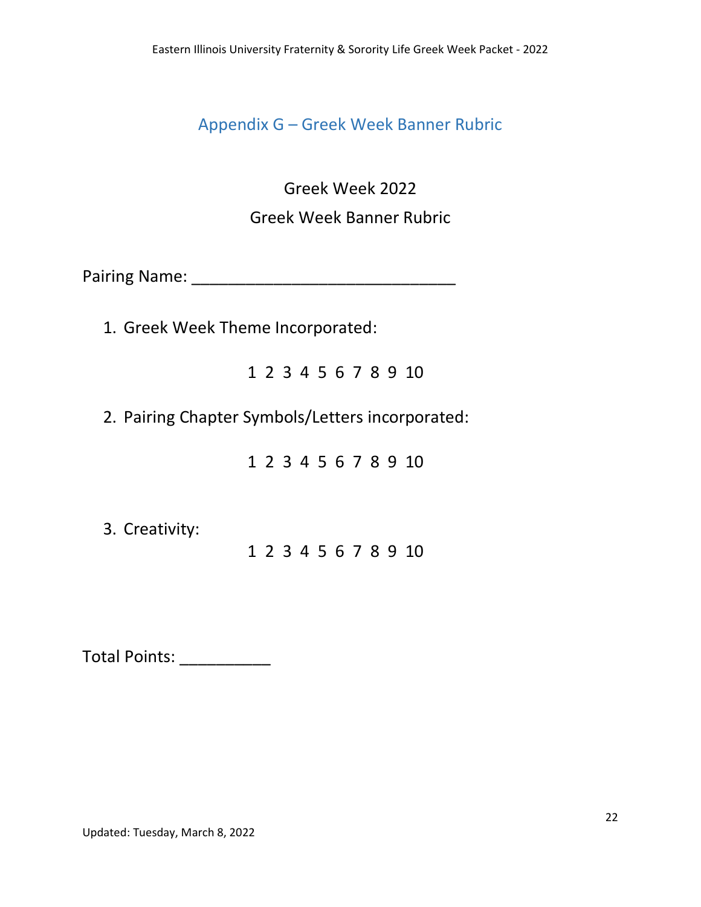<span id="page-21-0"></span>Appendix G – Greek Week Banner Rubric

Greek Week 2022 Greek Week Banner Rubric

Pairing Name: \_\_\_\_\_\_\_\_\_\_\_\_\_\_\_\_\_\_\_\_\_\_\_\_\_\_\_\_\_

1. Greek Week Theme Incorporated:

1 2 3 4 5 6 7 8 9 10

2. Pairing Chapter Symbols/Letters incorporated:

1 2 3 4 5 6 7 8 9 10

3. Creativity:

1 2 3 4 5 6 7 8 9 10

Total Points: \_\_\_\_\_\_\_\_\_\_